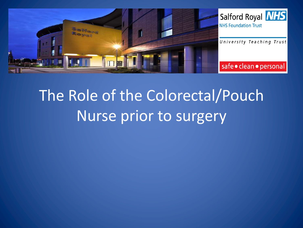

## The Role of the Colorectal/Pouch Nurse prior to surgery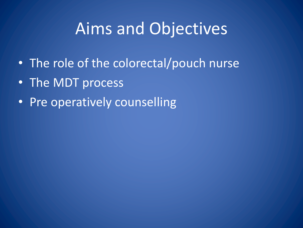#### Aims and Objectives

- The role of the colorectal/pouch nurse
- The MDT process
- Pre operatively counselling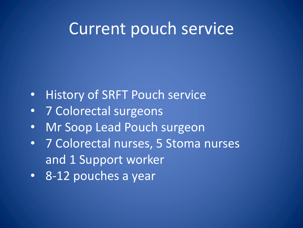#### Current pouch service

- History of SRFT Pouch service
- 7 Colorectal surgeons
- Mr Soop Lead Pouch surgeon
- 7 Colorectal nurses, 5 Stoma nurses and 1 Support worker
- 8-12 pouches a year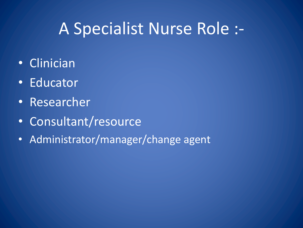## A Specialist Nurse Role :-

- Clinician
- Educator
- Researcher
- Consultant/resource
- Administrator/manager/change agent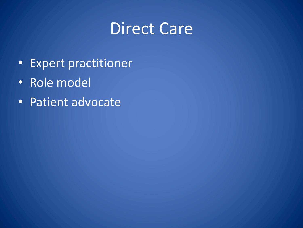#### Direct Care

- Expert practitioner
- Role model
- Patient advocate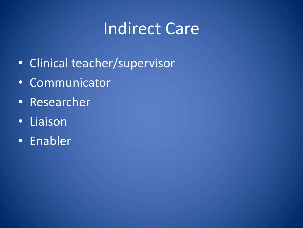## **Indirect Care**

- Clinical teacher/supervisor
- Communicator
- Researcher
- Liaison
- Enabler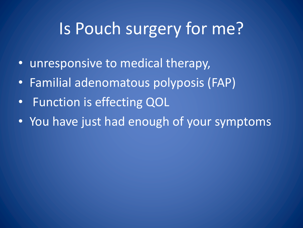## Is Pouch surgery for me?

- unresponsive to medical therapy,
- Familial adenomatous polyposis (FAP)
- Function is effecting QOL
- You have just had enough of your symptoms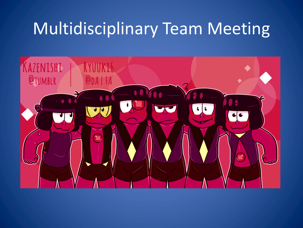## Multidisciplinary Team Meeting

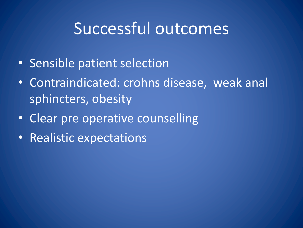#### Successful outcomes

- Sensible patient selection
- Contraindicated: crohns disease, weak anal sphincters, obesity
- Clear pre operative counselling
- Realistic expectations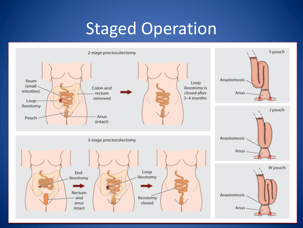# **Staged Operation**

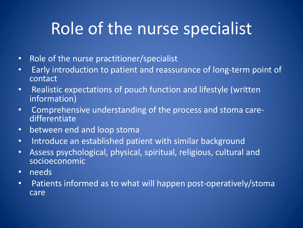## Role of the nurse specialist

- Role of the nurse practitioner/specialist
- Early introduction to patient and reassurance of long-term point of contact
- Realistic expectations of pouch function and lifestyle (written information)
- Comprehensive understanding of the process and stoma care-<br>differentiate
- between end and loop stoma
- Introduce an established patient with similar background
- Assess psychological, physical, spiritual, religious, cultural and socioeconomic
- needs
- Patients informed as to what will happen post-operatively/stoma care